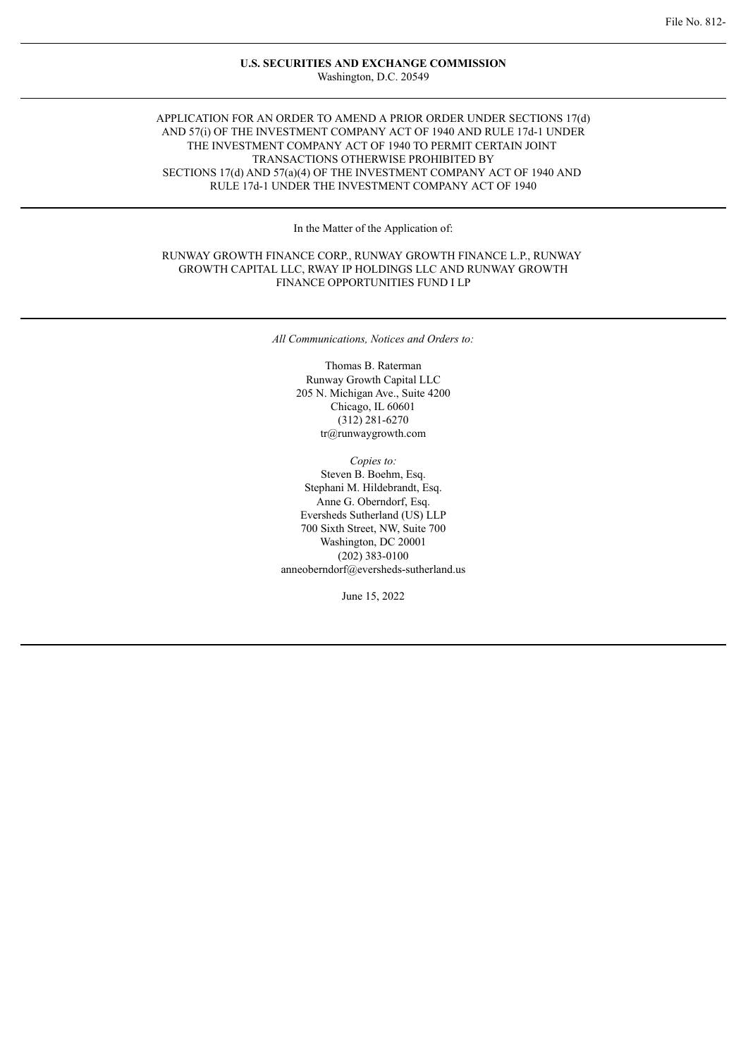### **U.S. SECURITIES AND EXCHANGE COMMISSION** Washington, D.C. 20549

## APPLICATION FOR AN ORDER TO AMEND A PRIOR ORDER UNDER SECTIONS 17(d) AND 57(i) OF THE INVESTMENT COMPANY ACT OF 1940 AND RULE 17d-1 UNDER THE INVESTMENT COMPANY ACT OF 1940 TO PERMIT CERTAIN JOINT TRANSACTIONS OTHERWISE PROHIBITED BY SECTIONS 17(d) AND 57(a)(4) OF THE INVESTMENT COMPANY ACT OF 1940 AND RULE 17d-1 UNDER THE INVESTMENT COMPANY ACT OF 1940

In the Matter of the Application of:

## RUNWAY GROWTH FINANCE CORP., RUNWAY GROWTH FINANCE L.P., RUNWAY GROWTH CAPITAL LLC, RWAY IP HOLDINGS LLC AND RUNWAY GROWTH FINANCE OPPORTUNITIES FUND I LP

*All Communications, Notices and Orders to:*

Thomas B. Raterman Runway Growth Capital LLC 205 N. Michigan Ave., Suite 4200 Chicago, IL 60601 (312) 281-6270 tr@runwaygrowth.com

*Copies to:* Steven B. Boehm, Esq. Stephani M. Hildebrandt, Esq. Anne G. Oberndorf, Esq. Eversheds Sutherland (US) LLP 700 Sixth Street, NW, Suite 700 Washington, DC 20001 (202) 383-0100 anneoberndorf@eversheds-sutherland.us

June 15, 2022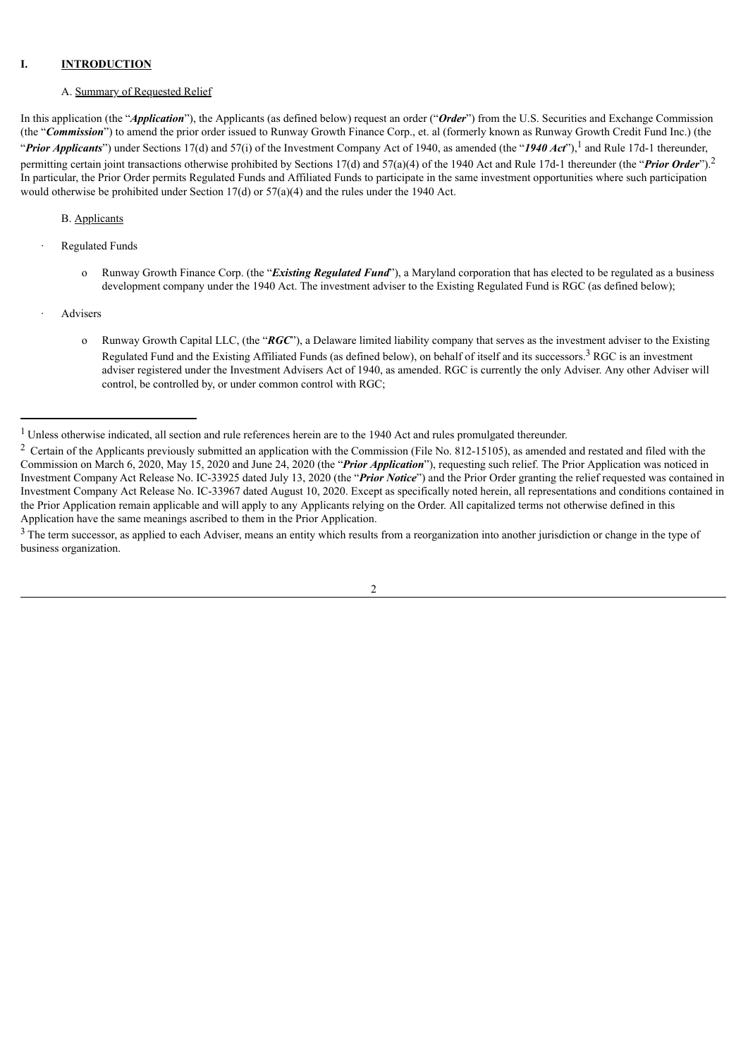### **I. INTRODUCTION**

### A. Summary of Requested Relief

In this application (the "*Application*"), the Applicants (as defined below) request an order ("*Order*") from the U.S. Securities and Exchange Commission (the "*Commission*") to amend the prior order issued to Runway Growth Finance Corp., et. al (formerly known as Runway Growth Credit Fund Inc.) (the "*Prior Applicants*") under Sections 17(d) and 57(i) of the Investment Company Act of 1940, as amended (the "*1940 Act*"), <sup>1</sup> and Rule 17d-1 thereunder, permitting certain joint transactions otherwise prohibited by Sections 17(d) and 57(a)(4) of the 1940 Act and Rule 17d-1 thereunder (the "*Prior Order*"). 2 In particular, the Prior Order permits Regulated Funds and Affiliated Funds to participate in the same investment opportunities where such participation would otherwise be prohibited under Section 17(d) or 57(a)(4) and the rules under the 1940 Act.

### B. Applicants

- **Regulated Funds** 
	- o Runway Growth Finance Corp. (the "*Existing Regulated Fund*"), a Maryland corporation that has elected to be regulated as a business development company under the 1940 Act. The investment adviser to the Existing Regulated Fund is RGC (as defined below);
- **Advisers** 
	- o Runway Growth Capital LLC, (the "*RGC*"), a Delaware limited liability company that serves as the investment adviser to the Existing Regulated Fund and the Existing Affiliated Funds (as defined below), on behalf of itself and its successors.<sup>3</sup> RGC is an investment adviser registered under the Investment Advisers Act of 1940, as amended. RGC is currently the only Adviser. Any other Adviser will control, be controlled by, or under common control with RGC;

<sup>&</sup>lt;sup>3</sup> The term successor, as applied to each Adviser, means an entity which results from a reorganization into another jurisdiction or change in the type of business organization.



<sup>&</sup>lt;sup>1</sup> Unless otherwise indicated, all section and rule references herein are to the 1940 Act and rules promulgated thereunder.

<sup>&</sup>lt;sup>2</sup> Certain of the Applicants previously submitted an application with the Commission (File No. 812-15105), as amended and restated and filed with the Commission on March 6, 2020, May 15, 2020 and June 24, 2020 (the "*Prior Application*"), requesting such relief. The Prior Application was noticed in Investment Company Act Release No. IC-33925 dated July 13, 2020 (the "*Prior Notice*") and the Prior Order granting the relief requested was contained in Investment Company Act Release No. IC-33967 dated August 10, 2020. Except as specifically noted herein, all representations and conditions contained in the Prior Application remain applicable and will apply to any Applicants relying on the Order. All capitalized terms not otherwise defined in this Application have the same meanings ascribed to them in the Prior Application.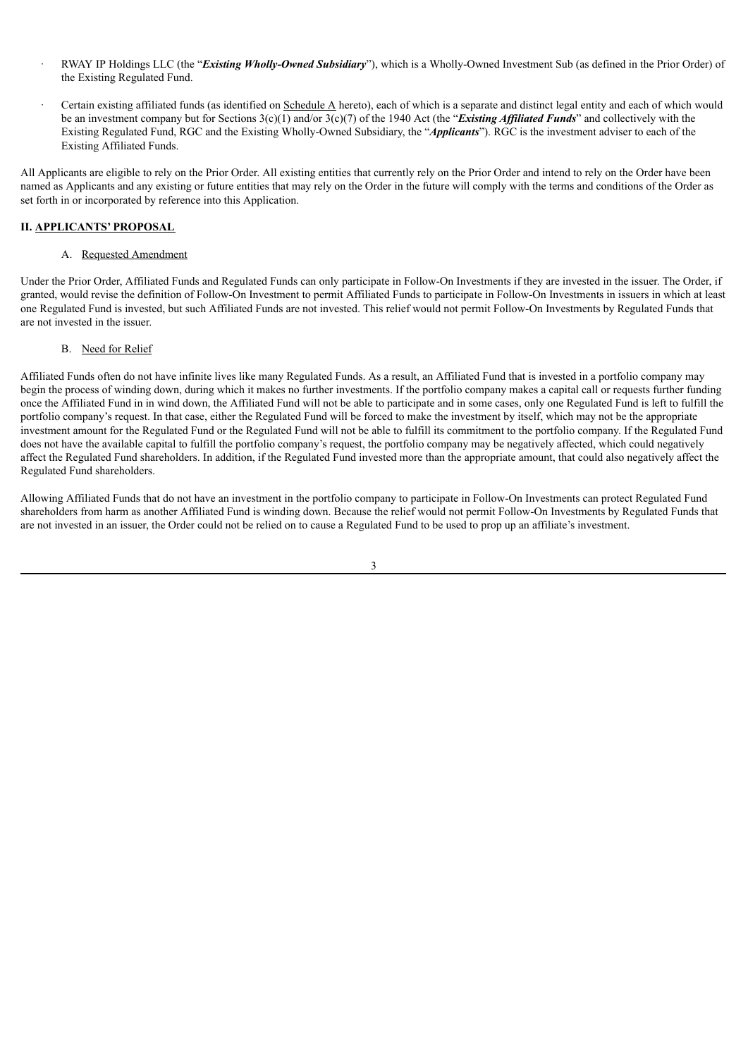- · RWAY IP Holdings LLC (the "*Existing Wholly-Owned Subsidiary*"), which is a Wholly-Owned Investment Sub (as defined in the Prior Order) of the Existing Regulated Fund.
- · Certain existing affiliated funds (as identified on Schedule A hereto), each of which is a separate and distinct legal entity and each of which would be an investment company but for Sections 3(c)(1) and/or 3(c)(7) of the 1940 Act (the "*Existing Af iliated Funds*" and collectively with the Existing Regulated Fund, RGC and the Existing Wholly-Owned Subsidiary, the "*Applicants*"). RGC is the investment adviser to each of the Existing Affiliated Funds.

All Applicants are eligible to rely on the Prior Order. All existing entities that currently rely on the Prior Order and intend to rely on the Order have been named as Applicants and any existing or future entities that may rely on the Order in the future will comply with the terms and conditions of the Order as set forth in or incorporated by reference into this Application.

## **II. APPLICANTS' PROPOSAL**

## A. Requested Amendment

Under the Prior Order, Affiliated Funds and Regulated Funds can only participate in Follow-On Investments if they are invested in the issuer. The Order, if granted, would revise the definition of Follow-On Investment to permit Affiliated Funds to participate in Follow-On Investments in issuers in which at least one Regulated Fund is invested, but such Affiliated Funds are not invested. This relief would not permit Follow-On Investments by Regulated Funds that are not invested in the issuer.

## B. Need for Relief

Affiliated Funds often do not have infinite lives like many Regulated Funds. As a result, an Affiliated Fund that is invested in a portfolio company may begin the process of winding down, during which it makes no further investments. If the portfolio company makes a capital call or requests further funding once the Affiliated Fund in in wind down, the Affiliated Fund will not be able to participate and in some cases, only one Regulated Fund is left to fulfill the portfolio company's request. In that case, either the Regulated Fund will be forced to make the investment by itself, which may not be the appropriate investment amount for the Regulated Fund or the Regulated Fund will not be able to fulfill its commitment to the portfolio company. If the Regulated Fund does not have the available capital to fulfill the portfolio company's request, the portfolio company may be negatively affected, which could negatively affect the Regulated Fund shareholders. In addition, if the Regulated Fund invested more than the appropriate amount, that could also negatively affect the Regulated Fund shareholders.

Allowing Affiliated Funds that do not have an investment in the portfolio company to participate in Follow-On Investments can protect Regulated Fund shareholders from harm as another Affiliated Fund is winding down. Because the relief would not permit Follow-On Investments by Regulated Funds that are not invested in an issuer, the Order could not be relied on to cause a Regulated Fund to be used to prop up an affiliate's investment.

3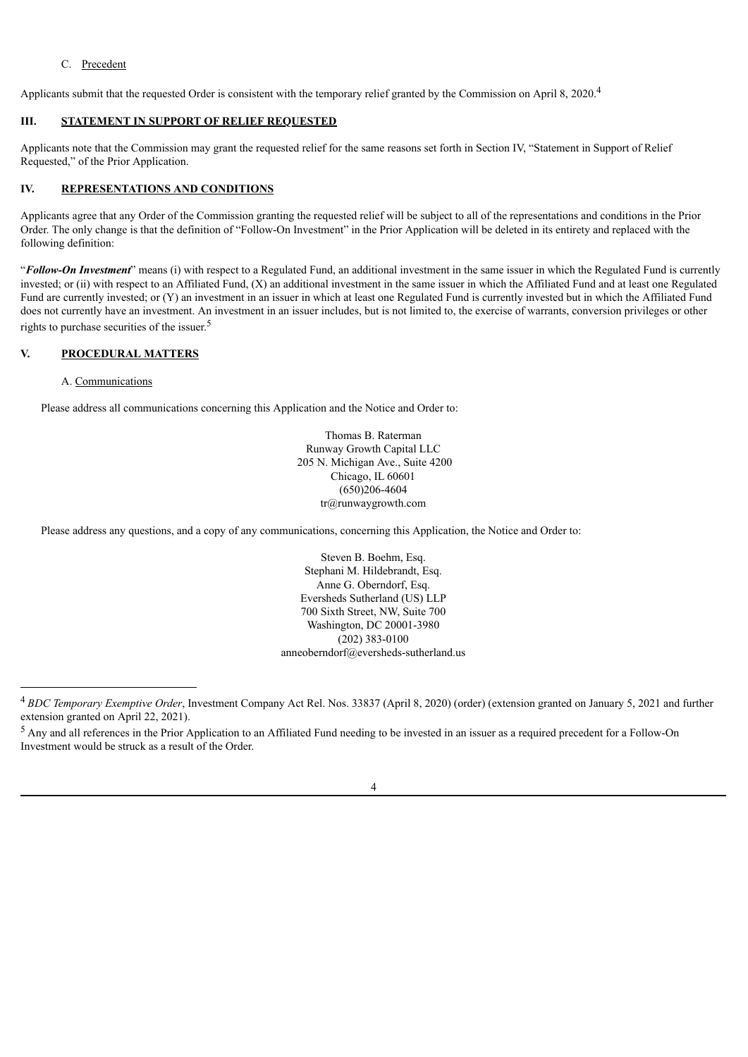# C. Precedent

Applicants submit that the requested Order is consistent with the temporary relief granted by the Commission on April 8, 2020.<sup>4</sup>

# **III. STATEMENT IN SUPPORT OF RELIEF REQUESTED**

Applicants note that the Commission may grant the requested relief for the same reasons set forth in Section IV, "Statement in Support of Relief Requested," of the Prior Application.

## **IV. REPRESENTATIONS AND CONDITIONS**

Applicants agree that any Order of the Commission granting the requested relief will be subject to all of the representations and conditions in the Prior Order. The only change is that the definition of "Follow-On Investment" in the Prior Application will be deleted in its entirety and replaced with the following definition:

"**Follow-On Investment**" means (i) with respect to a Regulated Fund, an additional investment in the same issuer in which the Regulated Fund is currently invested; or (ii) with respect to an Affiliated Fund, (X) an additional investment in the same issuer in which the Affiliated Fund and at least one Regulated Fund are currently invested; or (Y) an investment in an issuer in which at least one Regulated Fund is currently invested but in which the Affiliated Fund does not currently have an investment. An investment in an issuer includes, but is not limited to, the exercise of warrants, conversion privileges or other rights to purchase securities of the issuer. 5

# **V. PROCEDURAL MATTERS**

## A. Communications

Please address all communications concerning this Application and the Notice and Order to:

Thomas B. Raterman Runway Growth Capital LLC 205 N. Michigan Ave., Suite 4200 Chicago, IL 60601 (650)206-4604 tr@runwaygrowth.com

Please address any questions, and a copy of any communications, concerning this Application, the Notice and Order to:

Steven B. Boehm, Esq. Stephani M. Hildebrandt, Esq. Anne G. Oberndorf, Esq. Eversheds Sutherland (US) LLP 700 Sixth Street, NW, Suite 700 Washington, DC 20001-3980 (202) 383-0100 anneoberndorf@eversheds-sutherland.us

<sup>5</sup> Any and all references in the Prior Application to an Affiliated Fund needing to be invested in an issuer as a required precedent for a Follow-On Investment would be struck as a result of the Order.



<sup>4</sup> *BDC Temporary Exemptive Order*, Investment Company Act Rel. Nos. 33837 (April 8, 2020) (order) (extension granted on January 5, 2021 and further extension granted on April 22, 2021).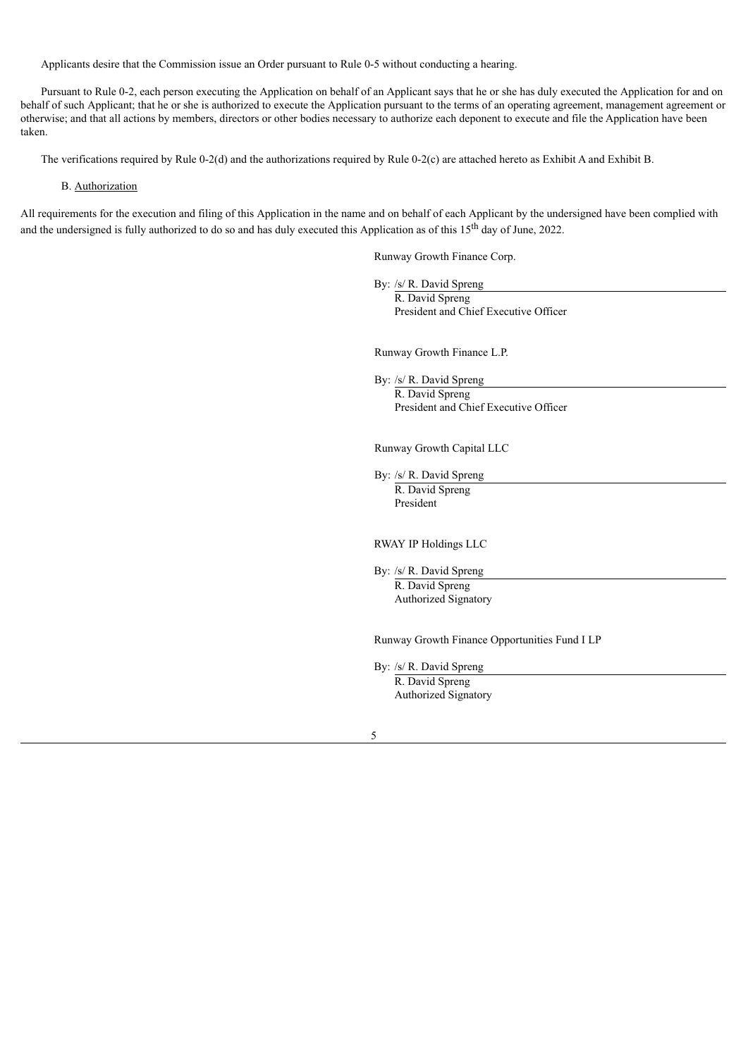Applicants desire that the Commission issue an Order pursuant to Rule 0-5 without conducting a hearing.

Pursuant to Rule 0-2, each person executing the Application on behalf of an Applicant says that he or she has duly executed the Application for and on behalf of such Applicant; that he or she is authorized to execute the Application pursuant to the terms of an operating agreement, management agreement or otherwise; and that all actions by members, directors or other bodies necessary to authorize each deponent to execute and file the Application have been taken.

The verifications required by Rule 0-2(d) and the authorizations required by Rule 0-2(c) are attached hereto as Exhibit A and Exhibit B.

### B. Authorization

All requirements for the execution and filing of this Application in the name and on behalf of each Applicant by the undersigned have been complied with and the undersigned is fully authorized to do so and has duly executed this Application as of this  $15<sup>th</sup>$  day of June, 2022.

Runway Growth Finance Corp.

By: /s/ R. David Spreng

R. David Spreng President and Chief Executive Officer

Runway Growth Finance L.P.

By: /s/ R. David Spreng

R. David Spreng President and Chief Executive Officer

Runway Growth Capital LLC

By: /s/ R. David Spreng

R. David Spreng President

RWAY IP Holdings LLC

By: /s/ R. David Spreng R. David Spreng Authorized Signatory

Runway Growth Finance Opportunities Fund I LP

By: /s/ R. David Spreng

R. David Spreng Authorized Signatory

5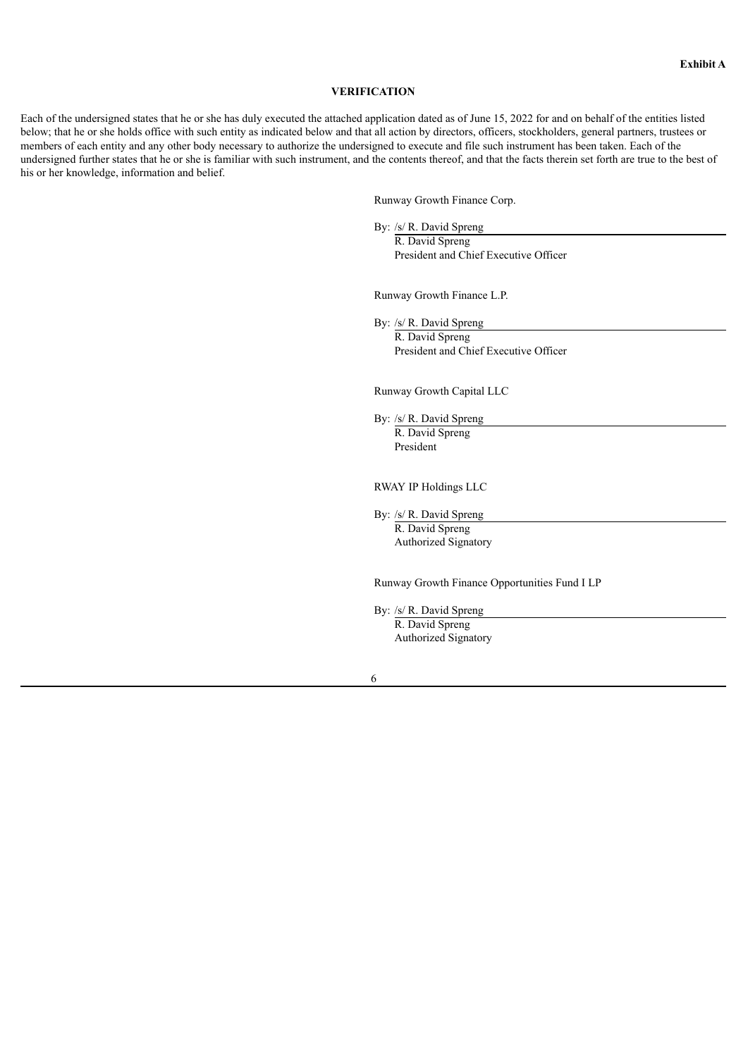#### **VERIFICATION**

Each of the undersigned states that he or she has duly executed the attached application dated as of June 15, 2022 for and on behalf of the entities listed below; that he or she holds office with such entity as indicated below and that all action by directors, officers, stockholders, general partners, trustees or members of each entity and any other body necessary to authorize the undersigned to execute and file such instrument has been taken. Each of the undersigned further states that he or she is familiar with such instrument, and the contents thereof, and that the facts therein set forth are true to the best of his or her knowledge, information and belief.

Runway Growth Finance Corp.

By: /s/ R. David Spreng

R. David Spreng President and Chief Executive Officer

Runway Growth Finance L.P.

By: /s/ R. David Spreng R. David Spreng President and Chief Executive Officer

Runway Growth Capital LLC

By: /s/ R. David Spreng R. David Spreng President

RWAY IP Holdings LLC

By: /s/ R. David Spreng

R. David Spreng Authorized Signatory

Runway Growth Finance Opportunities Fund I LP

By: /s/ R. David Spreng R. David Spreng Authorized Signatory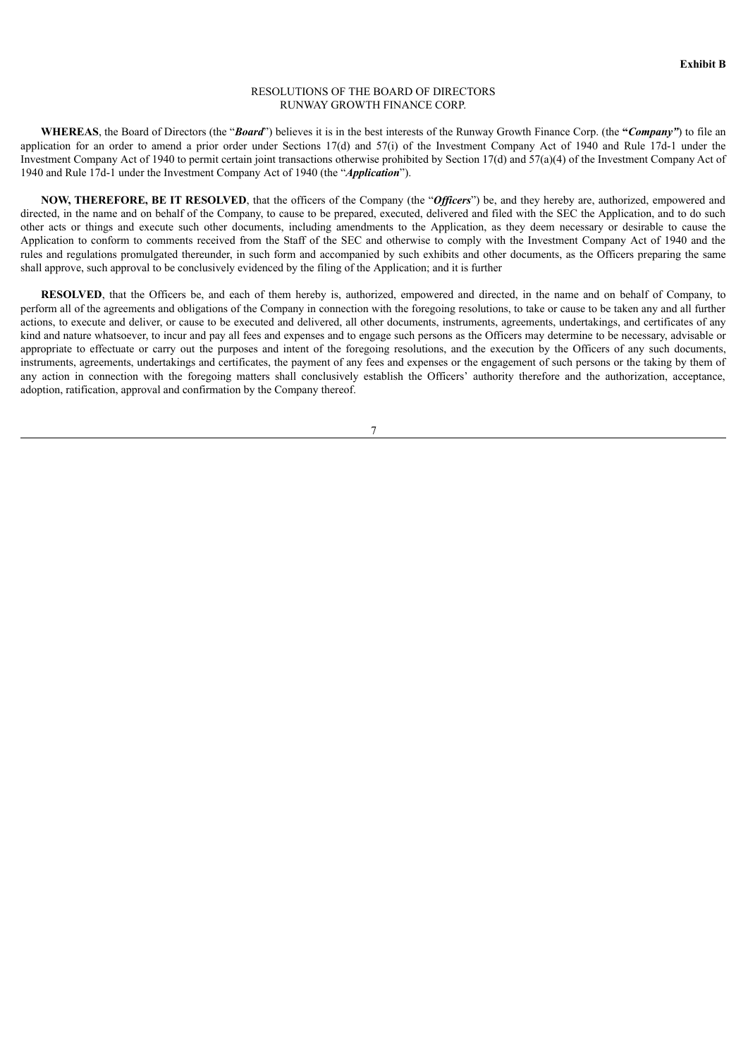### RESOLUTIONS OF THE BOARD OF DIRECTORS RUNWAY GROWTH FINANCE CORP.

**WHEREAS**, the Board of Directors (the "*Board*") believes it is in the best interests of the Runway Growth Finance Corp. (the **"***Company"*) to file an application for an order to amend a prior order under Sections 17(d) and 57(i) of the Investment Company Act of 1940 and Rule 17d-1 under the Investment Company Act of 1940 to permit certain joint transactions otherwise prohibited by Section 17(d) and 57(a)(4) of the Investment Company Act of 1940 and Rule 17d-1 under the Investment Company Act of 1940 (the "*Application*").

**NOW, THEREFORE, BE IT RESOLVED**, that the officers of the Company (the "*Of icers*") be, and they hereby are, authorized, empowered and directed, in the name and on behalf of the Company, to cause to be prepared, executed, delivered and filed with the SEC the Application, and to do such other acts or things and execute such other documents, including amendments to the Application, as they deem necessary or desirable to cause the Application to conform to comments received from the Staff of the SEC and otherwise to comply with the Investment Company Act of 1940 and the rules and regulations promulgated thereunder, in such form and accompanied by such exhibits and other documents, as the Officers preparing the same shall approve, such approval to be conclusively evidenced by the filing of the Application; and it is further

**RESOLVED**, that the Officers be, and each of them hereby is, authorized, empowered and directed, in the name and on behalf of Company, to perform all of the agreements and obligations of the Company in connection with the foregoing resolutions, to take or cause to be taken any and all further actions, to execute and deliver, or cause to be executed and delivered, all other documents, instruments, agreements, undertakings, and certificates of any kind and nature whatsoever, to incur and pay all fees and expenses and to engage such persons as the Officers may determine to be necessary, advisable or appropriate to effectuate or carry out the purposes and intent of the foregoing resolutions, and the execution by the Officers of any such documents, instruments, agreements, undertakings and certificates, the payment of any fees and expenses or the engagement of such persons or the taking by them of any action in connection with the foregoing matters shall conclusively establish the Officers' authority therefore and the authorization, acceptance, adoption, ratification, approval and confirmation by the Company thereof.

7